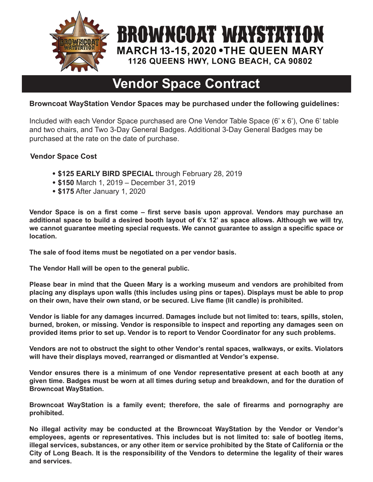

# **Vendor Space Contract**

**BROWNCOAT WAYSTATION** 

**MARCH 13-15, 2020 . THE QUEEN MARY** 1126 QUEENS HWY, LONG BEACH, CA 90802

#### **Browncoat WayStation Vendor Spaces may be purchased under the following guidelines:**

Included with each Vendor Space purchased are One Vendor Table Space (6' x 6'), One 6' table and two chairs, and Two 3-Day General Badges. Additional 3-Day General Badges may be purchased at the rate on the date of purchase.

#### **Vendor Space Cost**

- **\$125 EARLY BIRD SPECIAL** through February 28, 2019
- **\$150** March 1, 2019 December 31, 2019
- **\$175** After January 1, 2020

**Vendor Space is on a first come – first serve basis upon approval. Vendors may purchase an additional space to build a desired booth layout of 6'x 12' as space allows. Although we will try, we cannot guarantee meeting special requests. We cannot guarantee to assign a specific space or location.**

**The sale of food items must be negotiated on a per vendor basis.**

**The Vendor Hall will be open to the general public.**

**Please bear in mind that the Queen Mary is a working museum and vendors are prohibited from placing any displays upon walls (this includes using pins or tapes). Displays must be able to prop on their own, have their own stand, or be secured. Live flame (lit candle) is prohibited.**

**Vendor is liable for any damages incurred. Damages include but not limited to: tears, spills, stolen, burned, broken, or missing. Vendor is responsible to inspect and reporting any damages seen on provided items prior to set up. Vendor is to report to Vendor Coordinator for any such problems.**

**Vendors are not to obstruct the sight to other Vendor's rental spaces, walkways, or exits. Violators will have their displays moved, rearranged or dismantled at Vendor's expense.**

**Vendor ensures there is a minimum of one Vendor representative present at each booth at any given time. Badges must be worn at all times during setup and breakdown, and for the duration of Browncoat WayStation.**

**Browncoat WayStation is a family event; therefore, the sale of firearms and pornography are prohibited.**

**No illegal activity may be conducted at the Browncoat WayStation by the Vendor or Vendor's employees, agents or representatives. This includes but is not limited to: sale of bootleg items, illegal services, substances, or any other item or service prohibited by the State of California or the City of Long Beach. It is the responsibility of the Vendors to determine the legality of their wares and services.**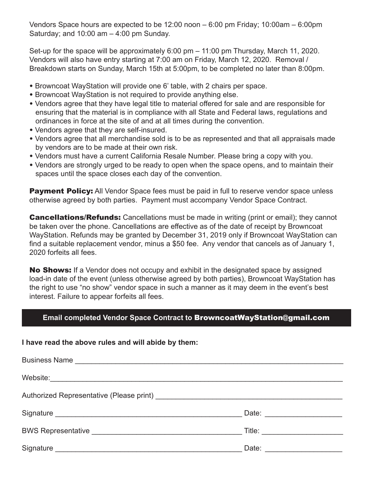Vendors Space hours are expected to be 12:00 noon – 6:00 pm Friday; 10:00am – 6:00pm Saturday; and  $10:00$  am  $-4:00$  pm Sunday.

Set-up for the space will be approximately 6:00 pm – 11:00 pm Thursday, March 11, 2020. Vendors will also have entry starting at 7:00 am on Friday, March 12, 2020. Removal / Breakdown starts on Sunday, March 15th at 5:00pm, to be completed no later than 8:00pm.

- Browncoat WayStation will provide one 6' table, with 2 chairs per space.
- Browncoat WayStation is not required to provide anything else.
- Vendors agree that they have legal title to material offered for sale and are responsible for ensuring that the material is in compliance with all State and Federal laws, regulations and ordinances in force at the site of and at all times during the convention.
- Vendors agree that they are self-insured.
- Vendors agree that all merchandise sold is to be as represented and that all appraisals made by vendors are to be made at their own risk.
- Vendors must have a current California Resale Number. Please bring a copy with you.
- Vendors are strongly urged to be ready to open when the space opens, and to maintain their spaces until the space closes each day of the convention.

**Payment Policy:** All Vendor Space fees must be paid in full to reserve vendor space unless otherwise agreed by both parties. Payment must accompany Vendor Space Contract.

**Cancellations/Refunds:** Cancellations must be made in writing (print or email); they cannot be taken over the phone. Cancellations are effective as of the date of receipt by Browncoat WayStation. Refunds may be granted by December 31, 2019 only if Browncoat WayStation can find a suitable replacement vendor, minus a \$50 fee. Any vendor that cancels as of January 1, 2020 forfeits all fees.

**No Shows:** If a Vendor does not occupy and exhibit in the designated space by assigned load-in date of the event (unless otherwise agreed by both parties), Browncoat WayStation has the right to use "no show" vendor space in such a manner as it may deem in the event's best interest. Failure to appear forfeits all fees.

#### **Email completed Vendor Space Contract to** BrowncoatWayStation@gmail.com

#### **I have read the above rules and will abide by them:**

| Title: _________________________ |
|----------------------------------|
| Date: <u>_______________</u>     |